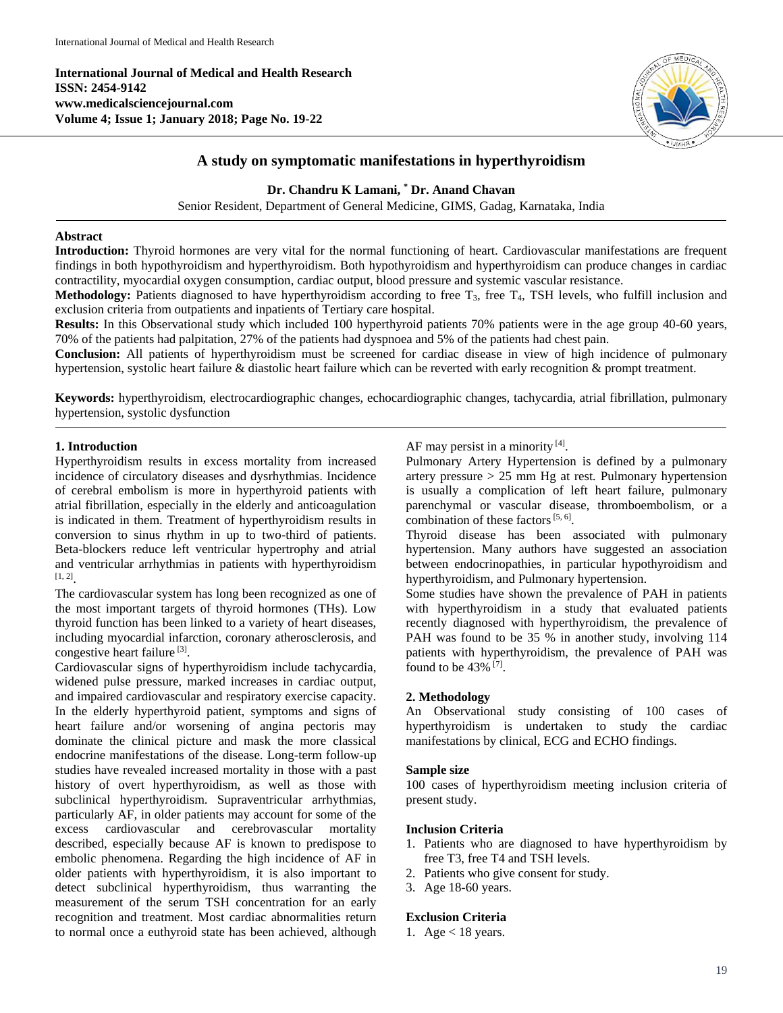**International Journal of Medical and Health Research ISSN: 2454-9142 www.medicalsciencejournal.com Volume 4; Issue 1; January 2018; Page No. 19-22**



# **A study on symptomatic manifestations in hyperthyroidism**

**Dr. Chandru K Lamani, \* Dr. Anand Chavan**

Senior Resident, Department of General Medicine, GIMS, Gadag, Karnataka, India

### **Abstract**

**Introduction:** Thyroid hormones are very vital for the normal functioning of heart. Cardiovascular manifestations are frequent findings in both hypothyroidism and hyperthyroidism. Both hypothyroidism and hyperthyroidism can produce changes in cardiac contractility, myocardial oxygen consumption, cardiac output, blood pressure and systemic vascular resistance.

**Methodology:** Patients diagnosed to have hyperthyroidism according to free T<sub>3</sub>, free T<sub>4</sub>, TSH levels, who fulfill inclusion and exclusion criteria from outpatients and inpatients of Tertiary care hospital.

**Results:** In this Observational study which included 100 hyperthyroid patients 70% patients were in the age group 40-60 years, 70% of the patients had palpitation, 27% of the patients had dyspnoea and 5% of the patients had chest pain.

**Conclusion:** All patients of hyperthyroidism must be screened for cardiac disease in view of high incidence of pulmonary hypertension, systolic heart failure & diastolic heart failure which can be reverted with early recognition & prompt treatment.

**Keywords:** hyperthyroidism, electrocardiographic changes, echocardiographic changes, tachycardia, atrial fibrillation, pulmonary hypertension, systolic dysfunction

## **1. Introduction**

Hyperthyroidism results in excess mortality from increased incidence of circulatory diseases and dysrhythmias. Incidence of cerebral embolism is more in hyperthyroid patients with atrial fibrillation, especially in the elderly and anticoagulation is indicated in them. Treatment of hyperthyroidism results in conversion to sinus rhythm in up to two-third of patients. Beta-blockers reduce left ventricular hypertrophy and atrial and ventricular arrhythmias in patients with hyperthyroidism [1, 2] .

The cardiovascular system has long been recognized as one of the most important targets of thyroid hormones (THs). Low thyroid function has been linked to a variety of heart diseases, including myocardial infarction, coronary atherosclerosis, and congestive heart failure<sup>[3]</sup>.

Cardiovascular signs of hyperthyroidism include tachycardia, widened pulse pressure, marked increases in cardiac output, and impaired cardiovascular and respiratory exercise capacity. In the elderly hyperthyroid patient, symptoms and signs of heart failure and/or worsening of angina pectoris may dominate the clinical picture and mask the more classical endocrine manifestations of the disease. Long-term follow-up studies have revealed increased mortality in those with a past history of overt hyperthyroidism, as well as those with subclinical hyperthyroidism. Supraventricular arrhythmias, particularly AF, in older patients may account for some of the excess cardiovascular and cerebrovascular mortality described, especially because AF is known to predispose to embolic phenomena. Regarding the high incidence of AF in older patients with hyperthyroidism, it is also important to detect subclinical hyperthyroidism, thus warranting the measurement of the serum TSH concentration for an early recognition and treatment. Most cardiac abnormalities return to normal once a euthyroid state has been achieved, although

AF may persist in a minority [4].

Pulmonary Artery Hypertension is defined by a pulmonary artery pressure > 25 mm Hg at rest*.* Pulmonary hypertension is usually a complication of left heart failure, pulmonary parenchymal or vascular disease, thromboembolism, or a combination of these factors  $[5, 6]$ .

Thyroid disease has been associated with pulmonary hypertension. Many authors have suggested an association between endocrinopathies, in particular hypothyroidism and hyperthyroidism, and Pulmonary hypertension.

Some studies have shown the prevalence of PAH in patients with hyperthyroidism in a study that evaluated patients recently diagnosed with hyperthyroidism, the prevalence of PAH was found to be 35 % in another study, involving 114 patients with hyperthyroidism, the prevalence of PAH was found to be 43% [7].

## **2. Methodology**

An Observational study consisting of 100 cases of hyperthyroidism is undertaken to study the cardiac manifestations by clinical, ECG and ECHO findings.

### **Sample size**

100 cases of hyperthyroidism meeting inclusion criteria of present study.

### **Inclusion Criteria**

- 1. Patients who are diagnosed to have hyperthyroidism by free T3, free T4 and TSH levels.
- 2. Patients who give consent for study.
- 3. Age 18-60 years.

## **Exclusion Criteria**

1. Age  $<$  18 years.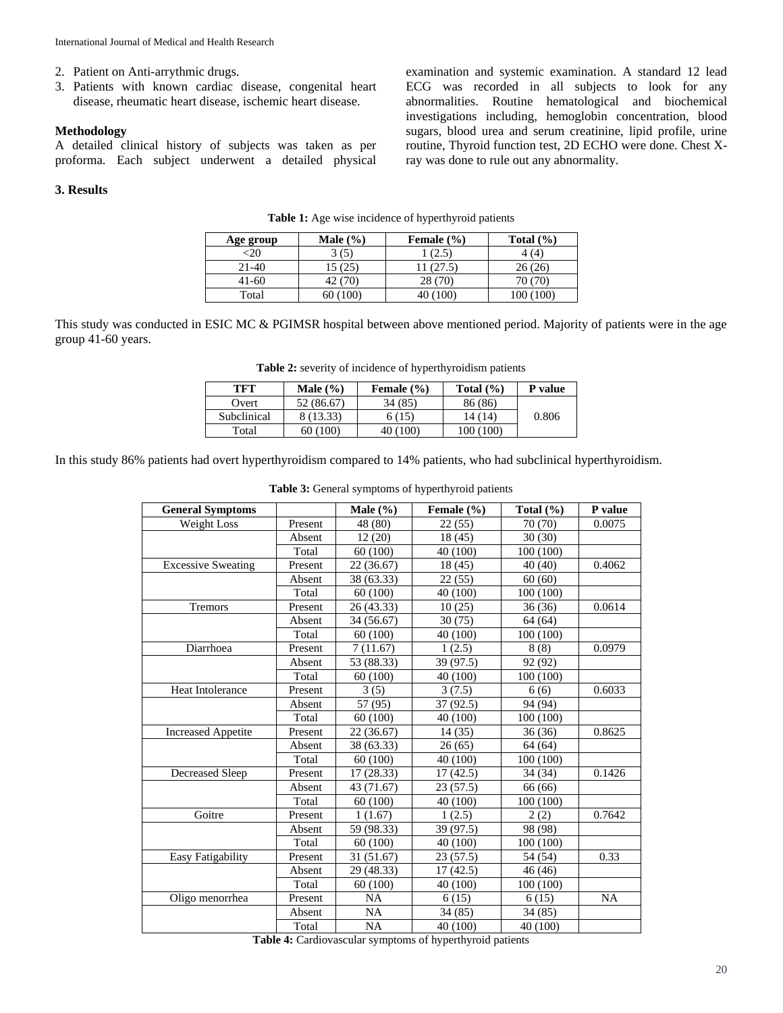- 2. Patient on Anti-arrythmic drugs.
- 3. Patients with known cardiac disease, congenital heart disease, rheumatic heart disease, ischemic heart disease.

### **Methodology**

A detailed clinical history of subjects was taken as per proforma. Each subject underwent a detailed physical

#### **3. Results**

examination and systemic examination. A standard 12 lead ECG was recorded in all subjects to look for any abnormalities. Routine hematological and biochemical investigations including, hemoglobin concentration, blood sugars, blood urea and serum creatinine, lipid profile, urine routine, Thyroid function test, 2D ECHO were done. Chest Xray was done to rule out any abnormality.

| Age group | Male $(\% )$ | Female $(\% )$ | Total $(\% )$ |
|-----------|--------------|----------------|---------------|
| $-20$     | 3 (5)        | (2.5)          | 4(4)          |
| $21-40$   | 15 (25)      | (27.5)         | 26(26)        |
| 41-60     | 42 (70)      | 28 (70)        | 70 (70)       |
| Total     | 60 (100)     | 40 (100)       | 100 (100)     |

**Table 1:** Age wise incidence of hyperthyroid patients

This study was conducted in ESIC MC & PGIMSR hospital between above mentioned period. Majority of patients were in the age group 41-60 years.

|  | <b>Table 2:</b> severity of incidence of hyperthyroidism patients |  |  |
|--|-------------------------------------------------------------------|--|--|
|  |                                                                   |  |  |

| TFT         | Male $(\% )$ | Female $(\% )$ | Total $(\% )$ | P value |
|-------------|--------------|----------------|---------------|---------|
| Overt       | 52 (86.67)   | 34 (85)        | 86 (86)       |         |
| Subclinical | 8 (13.33)    | 6(15)          | 14 (14)       | 0.806   |
| Total       | 60 (100)     | 40 (100)       | 100 (100)     |         |

In this study 86% patients had overt hyperthyroidism compared to 14% patients, who had subclinical hyperthyroidism.

| <b>General Symptoms</b>                                   |         | Male $(\% )$ | Female $(\% )$ | Total $(\% )$ | P value   |  |
|-----------------------------------------------------------|---------|--------------|----------------|---------------|-----------|--|
| Weight Loss                                               | Present | 48 (80)      | 22(55)         | 70 (70)       | 0.0075    |  |
|                                                           | Absent  | 12(20)       | 18 (45)        | 30(30)        |           |  |
|                                                           | Total   | 60 (100)     | 40 (100)       | 100 (100)     |           |  |
| <b>Excessive Sweating</b>                                 | Present | 22 (36.67)   | 18 (45)        | 40(40)        | 0.4062    |  |
|                                                           | Absent  | 38 (63.33)   | 22(55)         | 60(60)        |           |  |
|                                                           | Total   | 60(100)      | 40 (100)       | 100 (100)     |           |  |
| Tremors                                                   | Present | 26 (43.33)   | 10(25)         | 36(36)        | 0.0614    |  |
|                                                           | Absent  | 34 (56.67)   | 30(75)         | 64 (64)       |           |  |
|                                                           | Total   | 60(100)      | 40 (100)       | 100 (100)     |           |  |
| Diarrhoea                                                 | Present | 7(11.67)     | 1(2.5)         | 8(8)          | 0.0979    |  |
|                                                           | Absent  | 53 (88.33)   | 39 (97.5)      | 92 (92)       |           |  |
|                                                           | Total   | 60 (100)     | 40 (100)       | 100(100)      |           |  |
| Heat Intolerance                                          | Present | 3(5)         | 3(7.5)         | 6(6)          | 0.6033    |  |
|                                                           | Absent  | 57 (95)      | 37 (92.5)      | 94 (94)       |           |  |
|                                                           | Total   | 60(100)      | 40 (100)       | 100 (100)     |           |  |
| <b>Increased Appetite</b>                                 | Present | 22(36.67)    | 14(35)         | 36(36)        | 0.8625    |  |
|                                                           | Absent  | 38 (63.33)   | 26(65)         | 64 (64)       |           |  |
|                                                           | Total   | 60 (100)     | 40 (100)       | 100 (100)     |           |  |
| Decreased Sleep                                           | Present | 17 (28.33)   | 17(42.5)       | 34 (34)       | 0.1426    |  |
|                                                           | Absent  | 43 (71.67)   | 23(57.5)       | 66 (66)       |           |  |
|                                                           | Total   | 60 (100)     | 40 (100)       | 100(100)      |           |  |
| Goitre                                                    | Present | 1(1.67)      | 1(2.5)         | 2(2)          | 0.7642    |  |
|                                                           | Absent  | 59 (98.33)   | 39 (97.5)      | 98 (98)       |           |  |
|                                                           | Total   | 60(100)      | 40 (100)       | 100 (100)     |           |  |
| Easy Fatigability                                         | Present | 31 (51.67)   | 23(57.5)       | 54 (54)       | 0.33      |  |
|                                                           | Absent  | 29 (48.33)   | 17(42.5)       | 46 (46)       |           |  |
|                                                           | Total   | 60 (100)     | 40 (100)       | 100(100)      |           |  |
| Oligo menorrhea                                           | Present | <b>NA</b>    | 6(15)          | 6(15)         | <b>NA</b> |  |
|                                                           | Absent  | <b>NA</b>    | 34(85)         | 34(85)        |           |  |
|                                                           | Total   | <b>NA</b>    | 40 (100)       | 40 (100)      |           |  |
| Table 4: Cardiovascular symptoms of hyperthyroid patients |         |              |                |               |           |  |

**Table 3:** General symptoms of hyperthyroid patients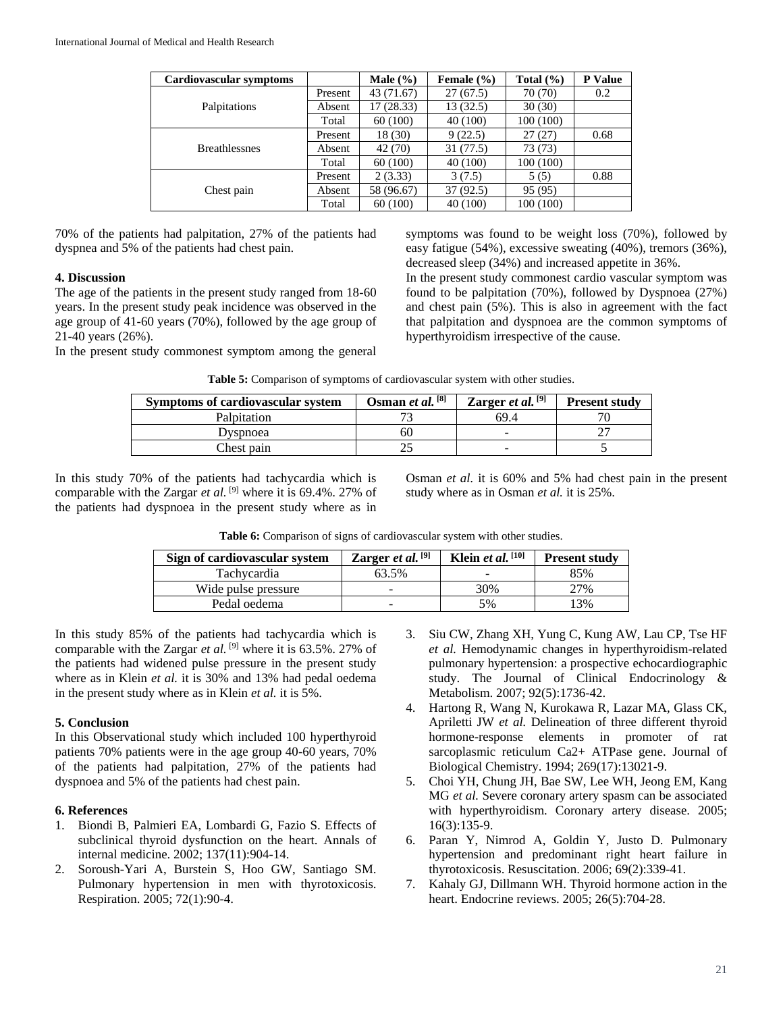| Cardiovascular symptoms |         | Male $(\% )$ | Female $(\% )$ | Total $(\% )$ | P Value |
|-------------------------|---------|--------------|----------------|---------------|---------|
|                         | Present | 43 (71.67)   | 27(67.5)       | 70 (70)       | 0.2     |
| Palpitations            | Absent  | 17(28.33)    | 13(32.5)       | 30(30)        |         |
|                         | Total   | 60(100)      | 40 (100)       | 100(100)      |         |
|                         | Present | 18(30)       | 9(22.5)        | 27(27)        | 0.68    |
| <b>Breathlessnes</b>    | Absent  | 42 (70)      | 31 (77.5)      | 73 (73)       |         |
|                         | Total   | 60(100)      | 40 (100)       | 100(100)      |         |
|                         | Present | 2(3.33)      | 3(7.5)         | 5(5)          | 0.88    |
| Chest pain              | Absent  | 58 (96.67)   | 37(92.5)       | 95 (95)       |         |
|                         | Total   | 60(100)      | 40 (100)       | 100(100)      |         |

70% of the patients had palpitation, 27% of the patients had dyspnea and 5% of the patients had chest pain.

### **4. Discussion**

The age of the patients in the present study ranged from 18-60 years. In the present study peak incidence was observed in the age group of 41-60 years (70%), followed by the age group of 21-40 years (26%).

In the present study commonest symptom among the general

symptoms was found to be weight loss (70%), followed by easy fatigue (54%), excessive sweating (40%), tremors (36%), decreased sleep (34%) and increased appetite in 36%.

In the present study commonest cardio vascular symptom was found to be palpitation (70%), followed by Dyspnoea (27%) and chest pain (5%). This is also in agreement with the fact that palpitation and dyspnoea are the common symptoms of hyperthyroidism irrespective of the cause.

|  |  |  |  |  | Table 5: Comparison of symptoms of cardiovascular system with other studies. |
|--|--|--|--|--|------------------------------------------------------------------------------|
|--|--|--|--|--|------------------------------------------------------------------------------|

| Symptoms of cardiovascular system | Osman et al. [8] | Zarger et al. $[9]$ | <b>Present study</b> |
|-----------------------------------|------------------|---------------------|----------------------|
| Palpitation                       |                  | 69.4                |                      |
| Dyspnoea                          |                  |                     |                      |
| Chest pain                        |                  |                     |                      |

In this study 70% of the patients had tachycardia which is comparable with the Zargar *et al.* <sup>[9]</sup> where it is 69.4%. 27% of the patients had dyspnoea in the present study where as in Osman *et al.* it is 60% and 5% had chest pain in the present study where as in Osman *et al.* it is 25%.

Table 6: Comparison of signs of cardiovascular system with other studies.

| Sign of cardiovascular system | Zarger et al. $[9]$ | Klein et al. $[10]$ | <b>Present study</b> |
|-------------------------------|---------------------|---------------------|----------------------|
| Tachvcardia                   | 63.5%               | -                   | 85%                  |
| Wide pulse pressure           | -                   | 30%                 | 27%                  |
| Pedal oedema                  | -                   | 5%                  | 3%                   |

In this study 85% of the patients had tachycardia which is comparable with the Zargar *et al.* <sup>[9]</sup> where it is 63.5%. 27% of the patients had widened pulse pressure in the present study where as in Klein *et al.* it is 30% and 13% had pedal oedema in the present study where as in Klein *et al.* it is 5%.

### **5. Conclusion**

In this Observational study which included 100 hyperthyroid patients 70% patients were in the age group 40-60 years, 70% of the patients had palpitation, 27% of the patients had dyspnoea and 5% of the patients had chest pain.

## **6. References**

- 1. Biondi B, Palmieri EA, Lombardi G, Fazio S. Effects of subclinical thyroid dysfunction on the heart. Annals of internal medicine. 2002; 137(11):904-14.
- 2. Soroush-Yari A, Burstein S, Hoo GW, Santiago SM. Pulmonary hypertension in men with thyrotoxicosis. Respiration. 2005; 72(1):90-4.
- 3. Siu CW, Zhang XH, Yung C, Kung AW, Lau CP, Tse HF *et al.* Hemodynamic changes in hyperthyroidism-related pulmonary hypertension: a prospective echocardiographic study. The Journal of Clinical Endocrinology & Metabolism. 2007; 92(5):1736-42.
- 4. Hartong R, Wang N, Kurokawa R, Lazar MA, Glass CK, Apriletti JW *et al.* Delineation of three different thyroid hormone-response elements in promoter of rat sarcoplasmic reticulum Ca2+ ATPase gene. Journal of Biological Chemistry. 1994; 269(17):13021-9.
- 5. Choi YH, Chung JH, Bae SW, Lee WH, Jeong EM, Kang MG *et al.* Severe coronary artery spasm can be associated with hyperthyroidism. Coronary artery disease. 2005; 16(3):135-9.
- 6. Paran Y, Nimrod A, Goldin Y, Justo D. Pulmonary hypertension and predominant right heart failure in thyrotoxicosis. Resuscitation. 2006; 69(2):339-41.
- 7. Kahaly GJ, Dillmann WH. Thyroid hormone action in the heart. Endocrine reviews. 2005; 26(5):704-28.